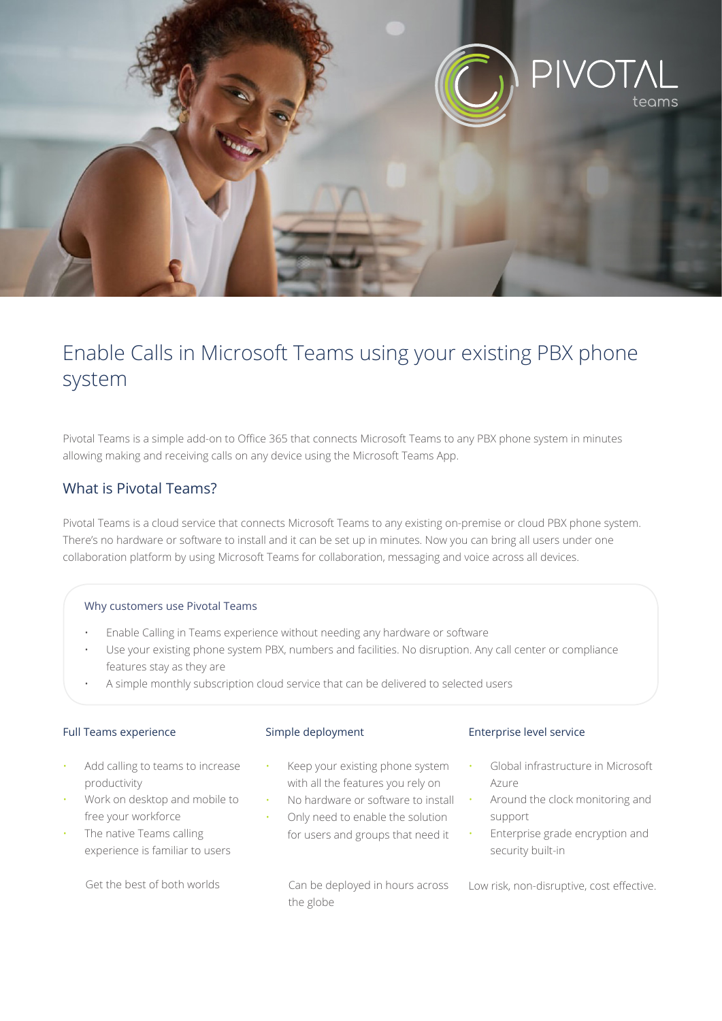

# Enable Calls in Microsoft Teams using your existing PBX phone system

Pivotal Teams is a simple add-on to Office 365 that connects Microsoft Teams to any PBX phone system in minutes allowing making and receiving calls on any device using the Microsoft Teams App.

## What is Pivotal Teams?

Pivotal Teams is a cloud service that connects Microsoft Teams to any existing on-premise or cloud PBX phone system. There's no hardware or software to install and it can be set up in minutes. Now you can bring all users under one collaboration platform by using Microsoft Teams for collaboration, messaging and voice across all devices.

#### Why customers use Pivotal Teams

- Enable Calling in Teams experience without needing any hardware or software
- Use your existing phone system PBX, numbers and facilities. No disruption. Any call center or compliance features stay as they are
- A simple monthly subscription cloud service that can be delivered to selected users

#### Full Teams experience

#### Simple deployment

- Add calling to teams to increase productivity
- Work on desktop and mobile to free your workforce
- The native Teams calling experience is familiar to users

Get the best of both worlds

- Keep your existing phone system with all the features you rely on
- No hardware or software to install • Only need to enable the solution for users and groups that need it

 Can be deployed in hours across the globe

#### Enterprise level service

- Global infrastructure in Microsoft Azure
- Around the clock monitoring and support
- Enterprise grade encryption and security built-in

Low risk, non-disruptive, cost effective.